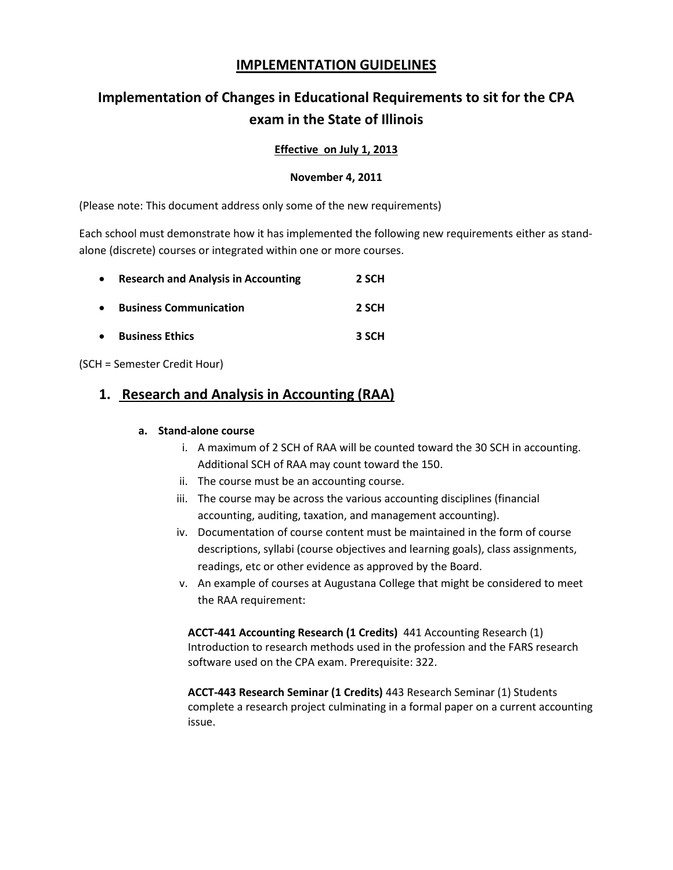# **IMPLEMENTATION GUIDELINES**

# **Implementation of Changes in Educational Requirements to sit for the CPA exam in the State of Illinois**

## **Effective on July 1, 2013**

### **November 4, 2011**

(Please note: This document address only some of the new requirements)

Each school must demonstrate how it has implemented the following new requirements either as standalone (discrete) courses or integrated within one or more courses.

| $\bullet$ | <b>Research and Analysis in Accounting</b> | 2 SCH |
|-----------|--------------------------------------------|-------|
| $\bullet$ | <b>Business Communication</b>              | 2 SCH |
| $\bullet$ | <b>Business Ethics</b>                     | 3 SCH |

(SCH = Semester Credit Hour)

# **1. Research and Analysis in Accounting (RAA)**

### **a. Stand-alone course**

- i. A maximum of 2 SCH of RAA will be counted toward the 30 SCH in accounting. Additional SCH of RAA may count toward the 150.
- ii. The course must be an accounting course.
- iii. The course may be across the various accounting disciplines (financial accounting, auditing, taxation, and management accounting).
- iv. Documentation of course content must be maintained in the form of course descriptions, syllabi (course objectives and learning goals), class assignments, readings, etc or other evidence as approved by the Board.
- v. An example of courses at Augustana College that might be considered to meet the RAA requirement:

**ACCT-441 Accounting Research (1 Credits)** 441 Accounting Research (1) Introduction to research methods used in the profession and the FARS research software used on the CPA exam. Prerequisite: 322.

**ACCT-443 Research Seminar (1 Credits)** 443 Research Seminar (1) Students complete a research project culminating in a formal paper on a current accounting issue.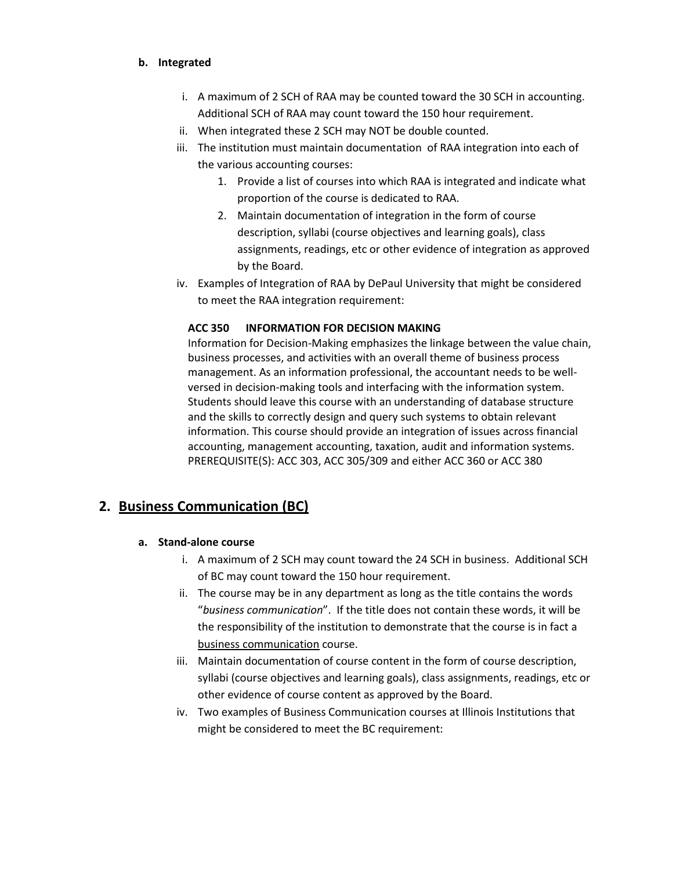#### **b. Integrated**

- i. A maximum of 2 SCH of RAA may be counted toward the 30 SCH in accounting. Additional SCH of RAA may count toward the 150 hour requirement.
- ii. When integrated these 2 SCH may NOT be double counted.
- iii. The institution must maintain documentation of RAA integration into each of the various accounting courses:
	- 1. Provide a list of courses into which RAA is integrated and indicate what proportion of the course is dedicated to RAA.
	- 2. Maintain documentation of integration in the form of course description, syllabi (course objectives and learning goals), class assignments, readings, etc or other evidence of integration as approved by the Board.
- iv. Examples of Integration of RAA by DePaul University that might be considered to meet the RAA integration requirement:

### **ACC 350 INFORMATION FOR DECISION MAKING**

Information for Decision-Making emphasizes the linkage between the value chain, business processes, and activities with an overall theme of business process management. As an information professional, the accountant needs to be wellversed in decision-making tools and interfacing with the information system. Students should leave this course with an understanding of database structure and the skills to correctly design and query such systems to obtain relevant information. This course should provide an integration of issues across financial accounting, management accounting, taxation, audit and information systems. PREREQUISITE(S): ACC 303, ACC 305/309 and either ACC 360 or ACC 380

## **2. Business Communication (BC)**

### **a. Stand-alone course**

- i. A maximum of 2 SCH may count toward the 24 SCH in business. Additional SCH of BC may count toward the 150 hour requirement.
- ii. The course may be in any department as long as the title contains the words "*business communication*". If the title does not contain these words, it will be the responsibility of the institution to demonstrate that the course is in fact a business communication course.
- iii. Maintain documentation of course content in the form of course description, syllabi (course objectives and learning goals), class assignments, readings, etc or other evidence of course content as approved by the Board.
- iv. Two examples of Business Communication courses at Illinois Institutions that might be considered to meet the BC requirement: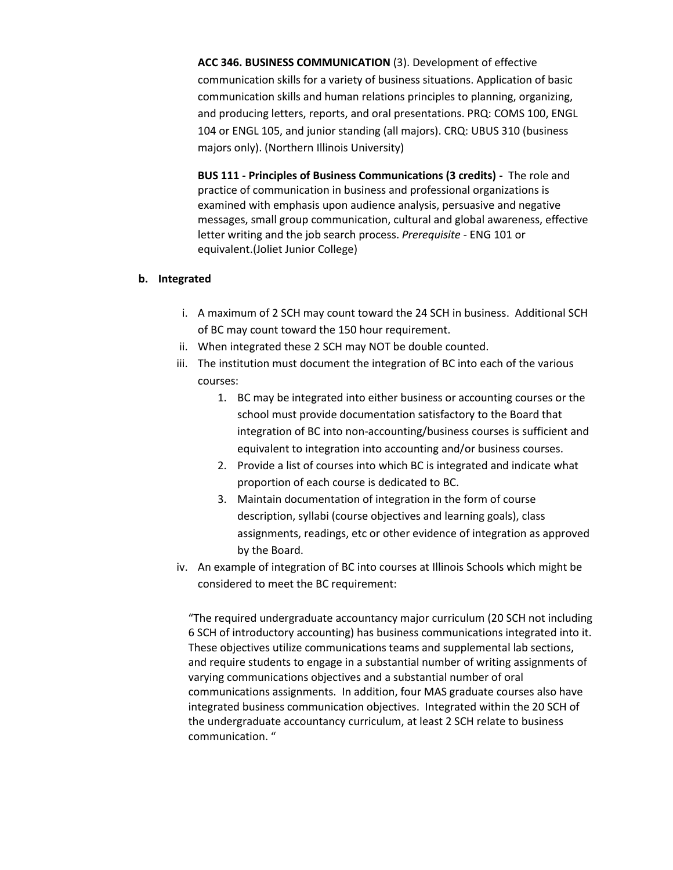**ACC 346. BUSINESS COMMUNICATION** (3). Development of effective communication skills for a variety of business situations. Application of basic communication skills and human relations principles to planning, organizing, and producing letters, reports, and oral presentations. PRQ: COMS 100, ENGL 104 or ENGL 105, and junior standing (all majors). CRQ: UBUS 310 (business majors only). (Northern Illinois University)

**BUS 111 - Principles of Business Communications (3 credits) -** The role and practice of communication in business and professional organizations is examined with emphasis upon audience analysis, persuasive and negative messages, small group communication, cultural and global awareness, effective letter writing and the job search process. *Prerequisite* - ENG 101 or equivalent.(Joliet Junior College)

#### **b. Integrated**

- i. A maximum of 2 SCH may count toward the 24 SCH in business. Additional SCH of BC may count toward the 150 hour requirement.
- ii. When integrated these 2 SCH may NOT be double counted.
- iii. The institution must document the integration of BC into each of the various courses:
	- 1. BC may be integrated into either business or accounting courses or the school must provide documentation satisfactory to the Board that integration of BC into non-accounting/business courses is sufficient and equivalent to integration into accounting and/or business courses.
	- 2. Provide a list of courses into which BC is integrated and indicate what proportion of each course is dedicated to BC.
	- 3. Maintain documentation of integration in the form of course description, syllabi (course objectives and learning goals), class assignments, readings, etc or other evidence of integration as approved by the Board.
- iv. An example of integration of BC into courses at Illinois Schools which might be considered to meet the BC requirement:

"The required undergraduate accountancy major curriculum (20 SCH not including 6 SCH of introductory accounting) has business communications integrated into it. These objectives utilize communications teams and supplemental lab sections, and require students to engage in a substantial number of writing assignments of varying communications objectives and a substantial number of oral communications assignments. In addition, four MAS graduate courses also have integrated business communication objectives. Integrated within the 20 SCH of the undergraduate accountancy curriculum, at least 2 SCH relate to business communication. "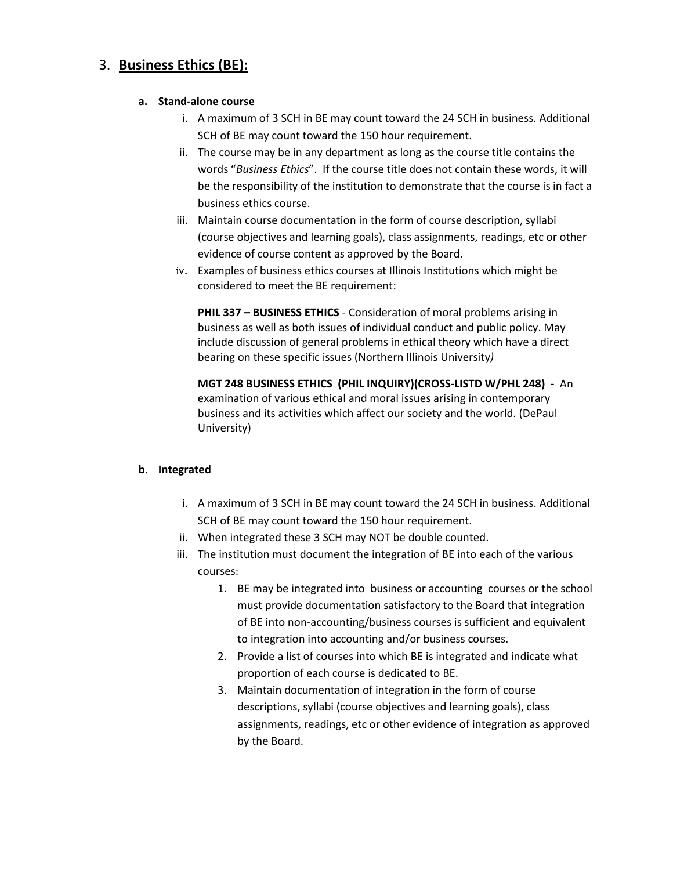# 3. **Business Ethics (BE):**

### **a. Stand-alone course**

- i. A maximum of 3 SCH in BE may count toward the 24 SCH in business. Additional SCH of BE may count toward the 150 hour requirement.
- ii. The course may be in any department as long as the course title contains the words "*Business Ethics*". If the course title does not contain these words, it will be the responsibility of the institution to demonstrate that the course is in fact a business ethics course.
- iii. Maintain course documentation in the form of course description, syllabi (course objectives and learning goals), class assignments, readings, etc or other evidence of course content as approved by the Board.
- iv. Examples of business ethics courses at Illinois Institutions which might be considered to meet the BE requirement:

**PHIL 337 – BUSINESS ETHICS** - Consideration of moral problems arising in business as well as both issues of individual conduct and public policy. May include discussion of general problems in ethical theory which have a direct bearing on these specific issues (Northern Illinois University*)*

**MGT 248 BUSINESS ETHICS (PHIL INQUIRY)(CROSS-LISTD W/PHL 248) -** An examination of various ethical and moral issues arising in contemporary business and its activities which affect our society and the world. (DePaul University)

### **b. Integrated**

- i. A maximum of 3 SCH in BE may count toward the 24 SCH in business. Additional SCH of BE may count toward the 150 hour requirement.
- ii. When integrated these 3 SCH may NOT be double counted.
- iii. The institution must document the integration of BE into each of the various courses:
	- 1. BE may be integrated into business or accounting courses or the school must provide documentation satisfactory to the Board that integration of BE into non-accounting/business courses is sufficient and equivalent to integration into accounting and/or business courses.
	- 2. Provide a list of courses into which BE is integrated and indicate what proportion of each course is dedicated to BE.
	- 3. Maintain documentation of integration in the form of course descriptions, syllabi (course objectives and learning goals), class assignments, readings, etc or other evidence of integration as approved by the Board.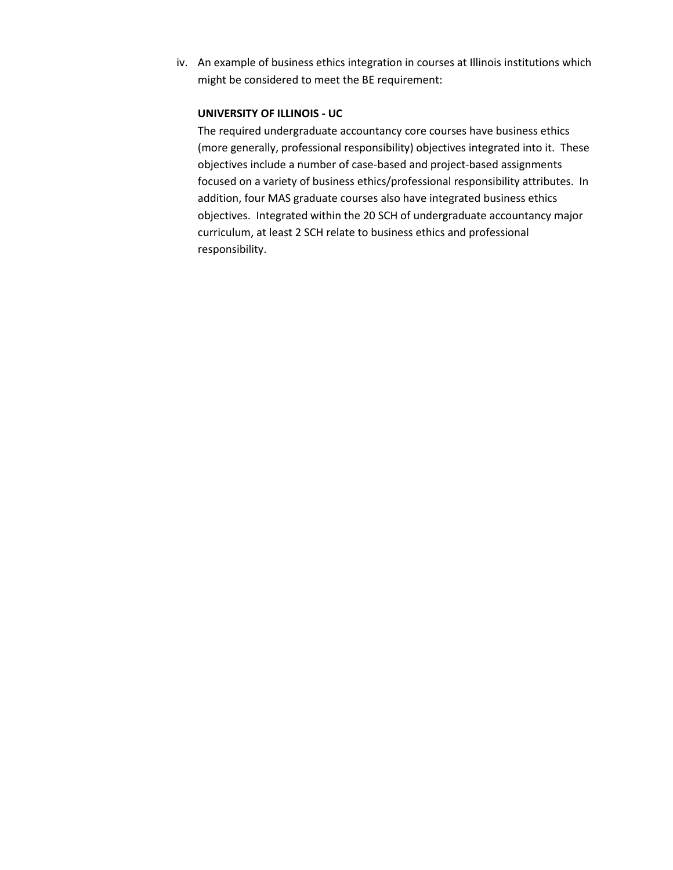iv. An example of business ethics integration in courses at Illinois institutions which might be considered to meet the BE requirement:

#### **UNIVERSITY OF ILLINOIS - UC**

The required undergraduate accountancy core courses have business ethics (more generally, professional responsibility) objectives integrated into it. These objectives include a number of case-based and project-based assignments focused on a variety of business ethics/professional responsibility attributes. In addition, four MAS graduate courses also have integrated business ethics objectives. Integrated within the 20 SCH of undergraduate accountancy major curriculum, at least 2 SCH relate to business ethics and professional responsibility.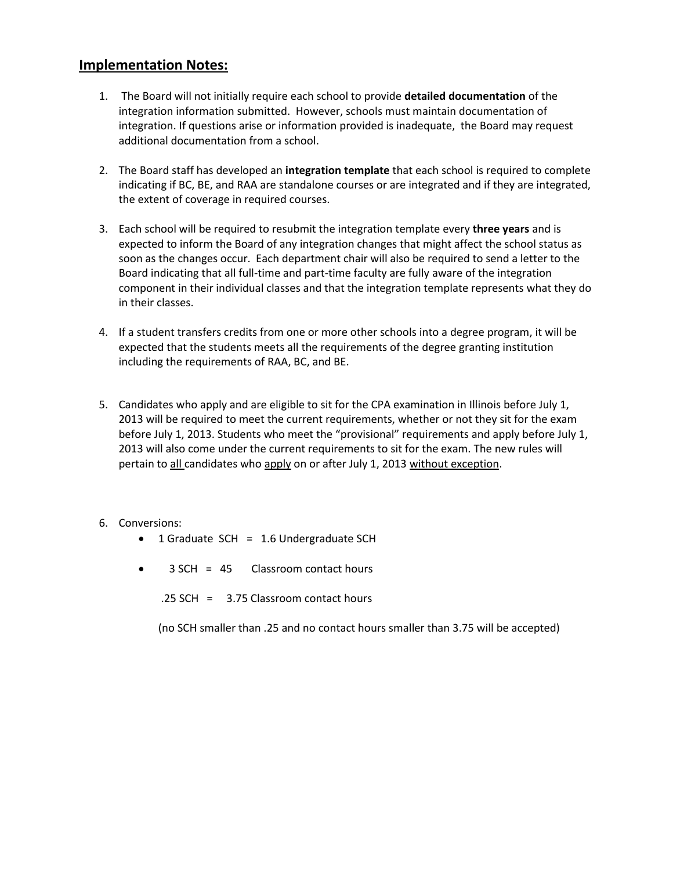## **Implementation Notes:**

- 1. The Board will not initially require each school to provide **detailed documentation** of the integration information submitted. However, schools must maintain documentation of integration. If questions arise or information provided is inadequate, the Board may request additional documentation from a school.
- 2. The Board staff has developed an **integration template** that each school is required to complete indicating if BC, BE, and RAA are standalone courses or are integrated and if they are integrated, the extent of coverage in required courses.
- 3. Each school will be required to resubmit the integration template every **three years** and is expected to inform the Board of any integration changes that might affect the school status as soon as the changes occur. Each department chair will also be required to send a letter to the Board indicating that all full-time and part-time faculty are fully aware of the integration component in their individual classes and that the integration template represents what they do in their classes.
- 4. If a student transfers credits from one or more other schools into a degree program, it will be expected that the students meets all the requirements of the degree granting institution including the requirements of RAA, BC, and BE.
- 5. Candidates who apply and are eligible to sit for the CPA examination in Illinois before July 1, 2013 will be required to meet the current requirements, whether or not they sit for the exam before July 1, 2013. Students who meet the "provisional" requirements and apply before July 1, 2013 will also come under the current requirements to sit for the exam. The new rules will pertain to all candidates who apply on or after July 1, 2013 without exception.

#### 6. Conversions:

- 1 Graduate SCH = 1.6 Undergraduate SCH
- $\bullet$  3 SCH = 45 Classroom contact hours

.25 SCH = 3.75 Classroom contact hours

(no SCH smaller than .25 and no contact hours smaller than 3.75 will be accepted)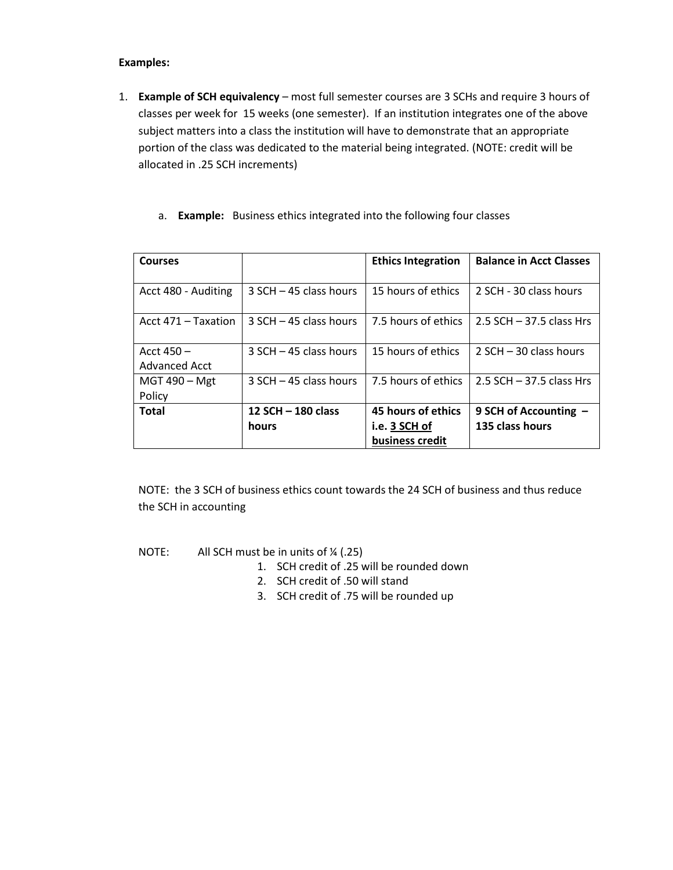#### **Examples:**

- 1. **Example of SCH equivalency** most full semester courses are 3 SCHs and require 3 hours of classes per week for 15 weeks (one semester). If an institution integrates one of the above subject matters into a class the institution will have to demonstrate that an appropriate portion of the class was dedicated to the material being integrated. (NOTE: credit will be allocated in .25 SCH increments)
	- a. **Example:** Business ethics integrated into the following four classes

| <b>Courses</b>                |                             | <b>Ethics Integration</b>                              | <b>Balance in Acct Classes</b>             |
|-------------------------------|-----------------------------|--------------------------------------------------------|--------------------------------------------|
| Acct 480 - Auditing           | $3$ SCH $-$ 45 class hours  | 15 hours of ethics                                     | 2 SCH - 30 class hours                     |
| Acct 471 - Taxation           | $3$ SCH $-$ 45 class hours  | 7.5 hours of ethics                                    | $2.5$ SCH $-$ 37.5 class Hrs               |
| Acct $450 -$<br>Advanced Acct | $3$ SCH $-$ 45 class hours  | 15 hours of ethics                                     | $2$ SCH $-$ 30 class hours                 |
| MGT 490 - Mgt<br>Policy       | $3$ SCH $-$ 45 class hours  | 7.5 hours of ethics                                    | $2.5$ SCH $-$ 37.5 class Hrs               |
| <b>Total</b>                  | 12 SCH - 180 class<br>hours | 45 hours of ethics<br>i.e. 3 SCH of<br>business credit | 9 SCH of Accounting $-$<br>135 class hours |

NOTE: the 3 SCH of business ethics count towards the 24 SCH of business and thus reduce the SCH in accounting

NOTE: All SCH must be in units of ¼ (.25)

- 1. SCH credit of .25 will be rounded down
- 2. SCH credit of .50 will stand
- 3. SCH credit of .75 will be rounded up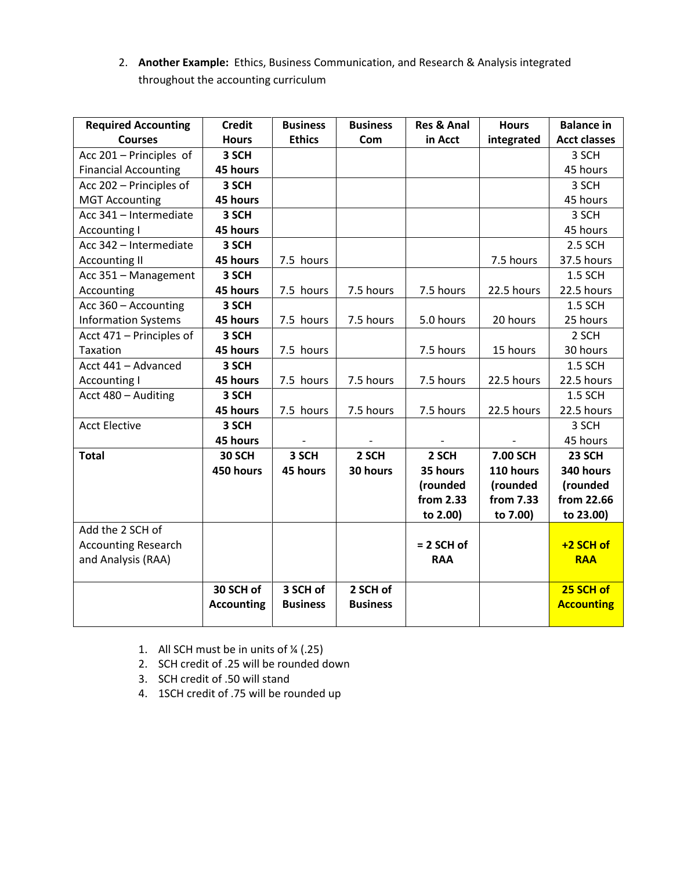2. **Another Example:** Ethics, Business Communication, and Research & Analysis integrated throughout the accounting curriculum

| <b>Required Accounting</b>  | <b>Credit</b>     | <b>Business</b> | <b>Business</b> | <b>Res &amp; Anal</b> | <b>Hours</b> | <b>Balance in</b>   |
|-----------------------------|-------------------|-----------------|-----------------|-----------------------|--------------|---------------------|
| <b>Courses</b>              | <b>Hours</b>      | <b>Ethics</b>   | Com             | in Acct               | integrated   | <b>Acct classes</b> |
| Acc 201 - Principles of     | 3 SCH             |                 |                 |                       |              | 3 SCH               |
| <b>Financial Accounting</b> | 45 hours          |                 |                 |                       |              | 45 hours            |
| Acc 202 - Principles of     | 3 SCH             |                 |                 |                       |              | 3 SCH               |
| <b>MGT Accounting</b>       | 45 hours          |                 |                 |                       |              | 45 hours            |
| Acc 341 - Intermediate      | 3 SCH             |                 |                 |                       |              | 3 SCH               |
| <b>Accounting I</b>         | 45 hours          |                 |                 |                       |              | 45 hours            |
| Acc 342 - Intermediate      | 3 SCH             |                 |                 |                       |              | 2.5 SCH             |
| <b>Accounting II</b>        | 45 hours          | 7.5 hours       |                 |                       | 7.5 hours    | 37.5 hours          |
| Acc 351 - Management        | 3 SCH             |                 |                 |                       |              | 1.5 SCH             |
| Accounting                  | 45 hours          | 7.5 hours       | 7.5 hours       | 7.5 hours             | 22.5 hours   | 22.5 hours          |
| Acc 360 - Accounting        | 3 SCH             |                 |                 |                       |              | 1.5 SCH             |
| <b>Information Systems</b>  | 45 hours          | 7.5 hours       | 7.5 hours       | 5.0 hours             | 20 hours     | 25 hours            |
| Acct 471 - Principles of    | 3 SCH             |                 |                 |                       |              | 2 SCH               |
| Taxation                    | 45 hours          | 7.5 hours       |                 | 7.5 hours             | 15 hours     | 30 hours            |
| Acct 441 - Advanced         | 3 SCH             |                 |                 |                       |              | 1.5 SCH             |
| <b>Accounting I</b>         | 45 hours          | 7.5 hours       | 7.5 hours       | 7.5 hours             | 22.5 hours   | 22.5 hours          |
| Acct 480 - Auditing         | 3 SCH             |                 |                 |                       |              | <b>1.5 SCH</b>      |
|                             | 45 hours          | 7.5 hours       | 7.5 hours       | 7.5 hours             | 22.5 hours   | 22.5 hours          |
| <b>Acct Elective</b>        | 3 SCH             |                 |                 |                       |              | 3 SCH               |
|                             | 45 hours          |                 |                 |                       |              | 45 hours            |
| <b>Total</b>                | 30 SCH            | 3 SCH           | 2 SCH           | 2 SCH                 | 7.00 SCH     | 23 SCH              |
|                             | 450 hours         | 45 hours        | 30 hours        | 35 hours              | 110 hours    | 340 hours           |
|                             |                   |                 |                 | (rounded              | (rounded     | (rounded            |
|                             |                   |                 |                 | from 2.33             | from 7.33    | from 22.66          |
|                             |                   |                 |                 | to 2.00)              | to 7.00)     | to 23.00)           |
| Add the 2 SCH of            |                   |                 |                 |                       |              |                     |
| <b>Accounting Research</b>  |                   |                 |                 | $= 2$ SCH of          |              | $+2$ SCH of         |
| and Analysis (RAA)          |                   |                 |                 | <b>RAA</b>            |              | <b>RAA</b>          |
|                             |                   |                 |                 |                       |              |                     |
|                             | 30 SCH of         | 3 SCH of        | 2 SCH of        |                       |              | 25 SCH of           |
|                             | <b>Accounting</b> | <b>Business</b> | <b>Business</b> |                       |              | <b>Accounting</b>   |
|                             |                   |                 |                 |                       |              |                     |

- 1. All SCH must be in units of  $\frac{1}{4}$  (.25)
- 2. SCH credit of .25 will be rounded down
- 3. SCH credit of .50 will stand
- 4. 1SCH credit of .75 will be rounded up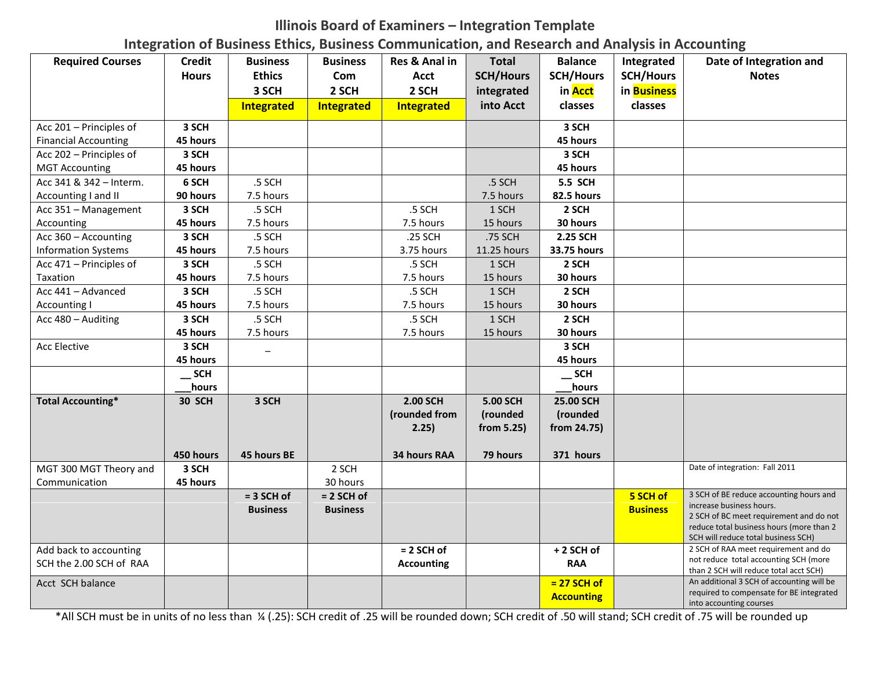# **Illinois Board of Examiners – Integration Template**

**Integration of Business Ethics, Business Communication, and Research and Analysis in Accounting**

| <b>Required Courses</b>     | <b>Credit</b> | <b>Business</b> | <b>Business</b> | Res & Anal in     | <b>Total</b>     | <b>Balance</b>    | Integrated       | Date of Integration and                                                             |
|-----------------------------|---------------|-----------------|-----------------|-------------------|------------------|-------------------|------------------|-------------------------------------------------------------------------------------|
|                             | <b>Hours</b>  | <b>Ethics</b>   | Com             | <b>Acct</b>       | <b>SCH/Hours</b> | <b>SCH/Hours</b>  | <b>SCH/Hours</b> | <b>Notes</b>                                                                        |
|                             |               | 3 SCH           | 2 SCH           | 2 SCH             | integrated       | in Acct           | in Business      |                                                                                     |
|                             |               | Integrated      | Integrated      | Integrated        | into Acct        | classes           | classes          |                                                                                     |
| Acc 201 - Principles of     | 3 SCH         |                 |                 |                   |                  | 3 SCH             |                  |                                                                                     |
| <b>Financial Accounting</b> | 45 hours      |                 |                 |                   |                  | 45 hours          |                  |                                                                                     |
| Acc 202 - Principles of     | 3 SCH         |                 |                 |                   |                  | 3 SCH             |                  |                                                                                     |
| <b>MGT Accounting</b>       | 45 hours      |                 |                 |                   |                  | 45 hours          |                  |                                                                                     |
| Acc 341 & 342 - Interm.     | 6 SCH         | .5 SCH          |                 |                   | .5 SCH           | <b>5.5 SCH</b>    |                  |                                                                                     |
| Accounting I and II         | 90 hours      | 7.5 hours       |                 |                   | 7.5 hours        | 82.5 hours        |                  |                                                                                     |
| Acc 351 - Management        | 3 SCH         | .5 SCH          |                 | .5 SCH            | 1 SCH            | 2 SCH             |                  |                                                                                     |
| Accounting                  | 45 hours      | 7.5 hours       |                 | 7.5 hours         | 15 hours         | 30 hours          |                  |                                                                                     |
| Acc 360 - Accounting        | 3 SCH         | .5 SCH          |                 | .25 SCH           | .75 SCH          | <b>2.25 SCH</b>   |                  |                                                                                     |
| <b>Information Systems</b>  | 45 hours      | 7.5 hours       |                 | 3.75 hours        | 11.25 hours      | 33.75 hours       |                  |                                                                                     |
| Acc 471 - Principles of     | 3 SCH         | .5 SCH          |                 | .5 SCH            | 1 SCH            | 2 SCH             |                  |                                                                                     |
| Taxation                    | 45 hours      | 7.5 hours       |                 | 7.5 hours         | 15 hours         | 30 hours          |                  |                                                                                     |
| Acc 441 - Advanced          | 3 SCH         | .5 SCH          |                 | .5 SCH            | 1 SCH            | 2 SCH             |                  |                                                                                     |
| Accounting I                | 45 hours      | 7.5 hours       |                 | 7.5 hours         | 15 hours         | 30 hours          |                  |                                                                                     |
| Acc 480 - Auditing          | 3 SCH         | .5 SCH          |                 | .5 SCH            | 1 SCH            | 2 SCH             |                  |                                                                                     |
|                             | 45 hours      | 7.5 hours       |                 | 7.5 hours         | 15 hours         | 30 hours          |                  |                                                                                     |
| <b>Acc Elective</b>         | 3 SCH         |                 |                 |                   |                  | 3 SCH             |                  |                                                                                     |
|                             | 45 hours      |                 |                 |                   |                  | 45 hours          |                  |                                                                                     |
|                             | <b>SCH</b>    |                 |                 |                   |                  | $\_$ SCH          |                  |                                                                                     |
|                             | hours         |                 |                 |                   |                  | <b>hours</b>      |                  |                                                                                     |
| <b>Total Accounting*</b>    | 30 SCH        | 3 SCH           |                 | 2.00 SCH          | 5.00 SCH         | 25.00 SCH         |                  |                                                                                     |
|                             |               |                 |                 | (rounded from     | (rounded         | (rounded          |                  |                                                                                     |
|                             |               |                 |                 | 2.25)             | from 5.25)       | from 24.75)       |                  |                                                                                     |
|                             |               |                 |                 |                   |                  |                   |                  |                                                                                     |
|                             | 450 hours     | 45 hours BE     |                 | 34 hours RAA      | 79 hours         | 371 hours         |                  |                                                                                     |
| MGT 300 MGT Theory and      | 3 SCH         |                 | 2 SCH           |                   |                  |                   |                  | Date of integration: Fall 2011                                                      |
| Communication               | 45 hours      |                 | 30 hours        |                   |                  |                   |                  |                                                                                     |
|                             |               | $= 3$ SCH of    | $= 2$ SCH of    |                   |                  |                   | 5 SCH of         | 3 SCH of BE reduce accounting hours and                                             |
|                             |               | <b>Business</b> | <b>Business</b> |                   |                  |                   | <b>Business</b>  | increase business hours.                                                            |
|                             |               |                 |                 |                   |                  |                   |                  | 2 SCH of BC meet requirement and do not<br>reduce total business hours (more than 2 |
|                             |               |                 |                 |                   |                  |                   |                  | SCH will reduce total business SCH)                                                 |
| Add back to accounting      |               |                 |                 | $= 2$ SCH of      |                  | +2 SCH of         |                  | 2 SCH of RAA meet requirement and do                                                |
| SCH the 2.00 SCH of RAA     |               |                 |                 | <b>Accounting</b> |                  | <b>RAA</b>        |                  | not reduce total accounting SCH (more                                               |
| Acct SCH balance            |               |                 |                 |                   |                  | $= 27$ SCH of     |                  | than 2 SCH will reduce total acct SCH)<br>An additional 3 SCH of accounting will be |
|                             |               |                 |                 |                   |                  |                   |                  | required to compensate for BE integrated                                            |
|                             |               |                 |                 |                   |                  | <b>Accounting</b> |                  | into accounting courses                                                             |

\*All SCH must be in units of no less than ¼ (.25): SCH credit of .25 will be rounded down; SCH credit of .50 will stand; SCH credit of .75 will be rounded up